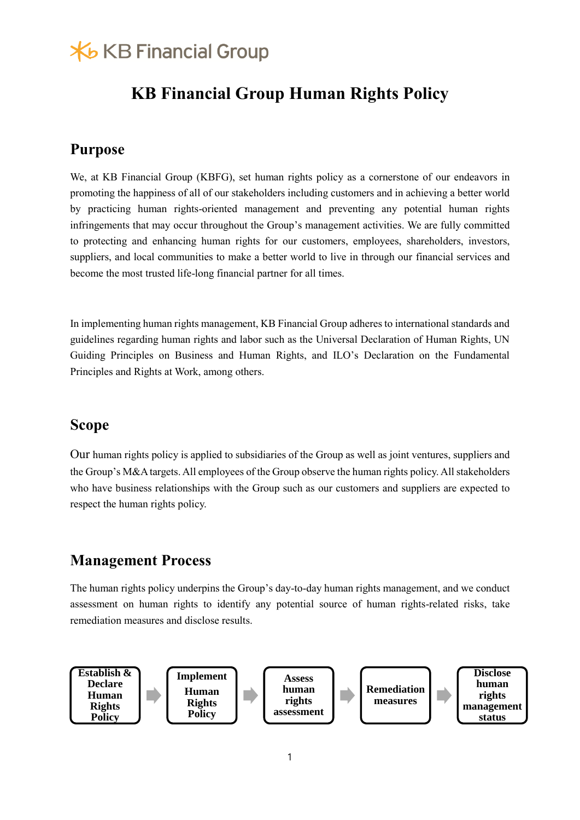## **X**b KB Financial Group

## **KB Financial Group Human Rights Policy**

## **Purpose**

We, at KB Financial Group (KBFG), set human rights policy as a cornerstone of our endeavors in promoting the happiness of all of our stakeholders including customers and in achieving a better world by practicing human rights-oriented management and preventing any potential human rights infringements that may occur throughout the Group's management activities. We are fully committed to protecting and enhancing human rights for our customers, employees, shareholders, investors, suppliers, and local communities to make a better world to live in through our financial services and become the most trusted life-long financial partner for all times.

In implementing human rights management, KB Financial Group adheres to international standards and guidelines regarding human rights and labor such as the Universal Declaration of Human Rights, UN Guiding Principles on Business and Human Rights, and ILO's Declaration on the Fundamental Principles and Rights at Work, among others.

### **Scope**

Our human rights policy is applied to subsidiaries of the Group as well as joint ventures, suppliers and the Group's M&A targets. All employees of the Group observe the human rights policy. All stakeholders who have business relationships with the Group such as our customers and suppliers are expected to respect the human rights policy.

## **Management Process**

The human rights policy underpins the Group's day-to-day human rights management, and we conduct assessment on human rights to identify any potential source of human rights-related risks, take remediation measures and disclose results.

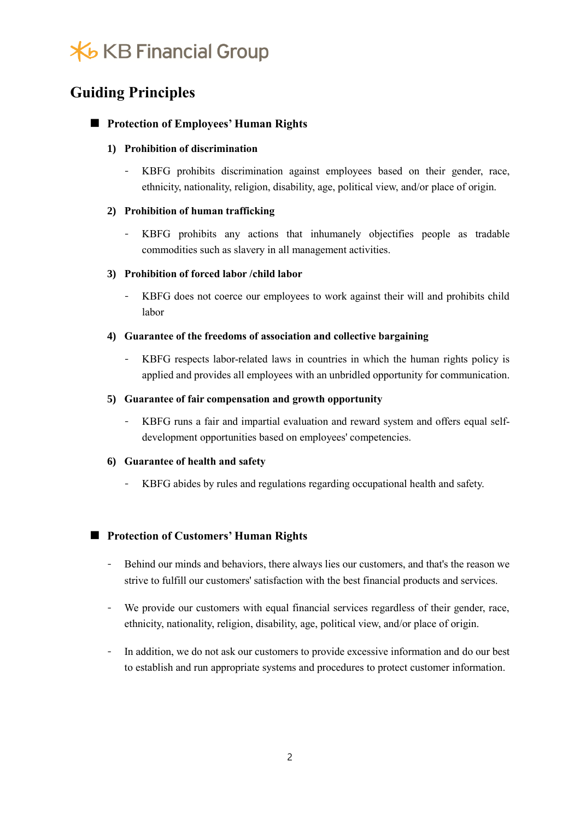# **X**b KB Financial Group

## **Guiding Principles**

### ■ **Protection of Employees' Human Rights**

#### **1) Prohibition of discrimination**

- KBFG prohibits discrimination against employees based on their gender, race, ethnicity, nationality, religion, disability, age, political view, and/or place of origin.

#### **2) Prohibition of human trafficking**

KBFG prohibits any actions that inhumanely objectifies people as tradable commodities such as slavery in all management activities.

#### **3) Prohibition of forced labor /child labor**

- KBFG does not coerce our employees to work against their will and prohibits child labor

#### **4) Guarantee of the freedoms of association and collective bargaining**

- KBFG respects labor-related laws in countries in which the human rights policy is applied and provides all employees with an unbridled opportunity for communication.

#### **5) Guarantee of fair compensation and growth opportunity**

- KBFG runs a fair and impartial evaluation and reward system and offers equal selfdevelopment opportunities based on employees' competencies.

#### **6) Guarantee of health and safety**

- KBFG abides by rules and regulations regarding occupational health and safety.

#### ■ **Protection of Customers' Human Rights**

- Behind our minds and behaviors, there always lies our customers, and that's the reason we strive to fulfill our customers' satisfaction with the best financial products and services.
- We provide our customers with equal financial services regardless of their gender, race, ethnicity, nationality, religion, disability, age, political view, and/or place of origin.
- In addition, we do not ask our customers to provide excessive information and do our best to establish and run appropriate systems and procedures to protect customer information.